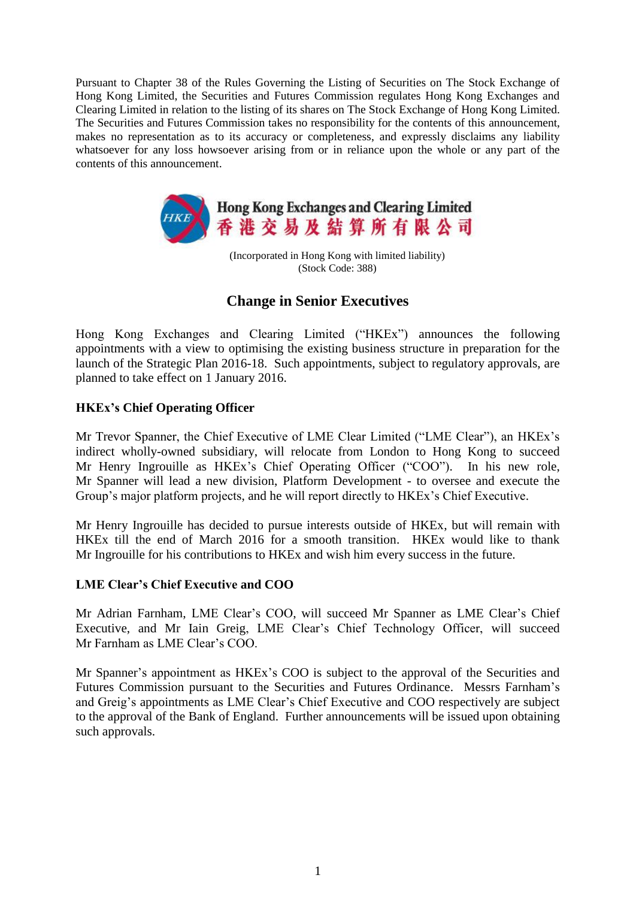Pursuant to Chapter 38 of the Rules Governing the Listing of Securities on The Stock Exchange of Hong Kong Limited, the Securities and Futures Commission regulates Hong Kong Exchanges and Clearing Limited in relation to the listing of its shares on The Stock Exchange of Hong Kong Limited. The Securities and Futures Commission takes no responsibility for the contents of this announcement, makes no representation as to its accuracy or completeness, and expressly disclaims any liability whatsoever for any loss howsoever arising from or in reliance upon the whole or any part of the contents of this announcement.



(Incorporated in Hong Kong with limited liability) (Stock Code: 388)

## **Change in Senior Executives**

Hong Kong Exchanges and Clearing Limited ("HKEx") announces the following appointments with a view to optimising the existing business structure in preparation for the launch of the Strategic Plan 2016-18. Such appointments, subject to regulatory approvals, are planned to take effect on 1 January 2016.

## **HKEx's Chief Operating Officer**

Mr Trevor Spanner, the Chief Executive of LME Clear Limited ("LME Clear"), an HKEx's indirect wholly-owned subsidiary, will relocate from London to Hong Kong to succeed Mr Henry Ingrouille as HKEx's Chief Operating Officer ("COO"). In his new role, Mr Spanner will lead a new division, Platform Development - to oversee and execute the Group's major platform projects, and he will report directly to HKEx's Chief Executive.

Mr Henry Ingrouille has decided to pursue interests outside of HKEx, but will remain with HKEx till the end of March 2016 for a smooth transition. HKEx would like to thank Mr Ingrouille for his contributions to HKEx and wish him every success in the future.

## **LME Clear's Chief Executive and COO**

Mr Adrian Farnham, LME Clear's COO, will succeed Mr Spanner as LME Clear's Chief Executive, and Mr Iain Greig, LME Clear's Chief Technology Officer, will succeed Mr Farnham as LME Clear's COO.

Mr Spanner's appointment as HKEx's COO is subject to the approval of the Securities and Futures Commission pursuant to the Securities and Futures Ordinance. Messrs Farnham's and Greig's appointments as LME Clear's Chief Executive and COO respectively are subject to the approval of the Bank of England. Further announcements will be issued upon obtaining such approvals.